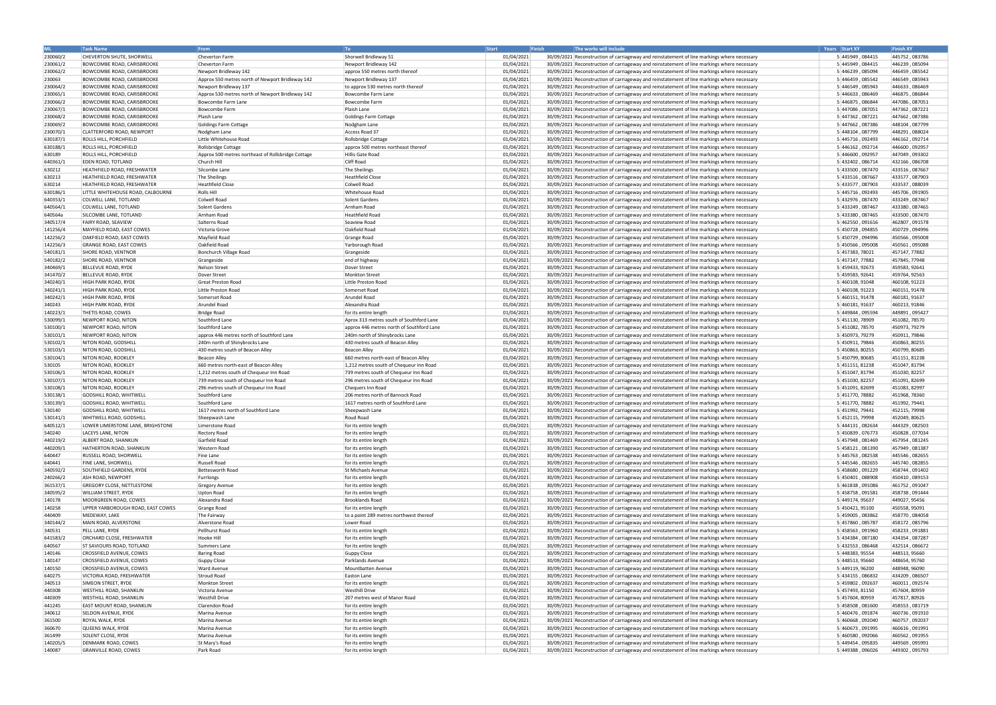| <b>ML</b> | <b>Task Name</b>                   | <b>From</b>                                        | $ $ To                                    | Start      | Finish | The works will include                                                                      | Years Start XY   | <b>Finish XY</b> |
|-----------|------------------------------------|----------------------------------------------------|-------------------------------------------|------------|--------|---------------------------------------------------------------------------------------------|------------------|------------------|
| 230060/2  | CHEVERTON SHUTE, SHORWELL          | Cheverton Farm                                     | Shorwell Bridleway 51                     | 01/04/2021 |        | 30/09/2021 Reconstruction of carriageway and reinstatement of line markings where necessary | 5 445949, 084415 | 445752,083786    |
| 230061/2  | <b>BOWCOMBE ROAD, CARISBROOKE</b>  | Cheverton Farm                                     | Newport Bridleway 142                     | 01/04/2021 |        | 30/09/2021 Reconstruction of carriageway and reinstatement of line markings where necessary | 5 445949, 084415 | 446239,085094    |
| 230062/2  | <b>BOWCOMBE ROAD, CARISBROOKE</b>  | Newport Bridleway 142                              |                                           | 01/04/2021 |        | 30/09/2021 Reconstruction of carriageway and reinstatement of line markings where necessary | 5 446239, 085094 | 446459, 085542   |
|           |                                    |                                                    | approx 550 metres north thereof           |            |        |                                                                                             |                  | 446549, 085943   |
| 230063    | BOWCOMBE ROAD, CARISBROOKE         | Approx 550 metres north of Newport Bridleway 142   | Newport Bridleway 137                     | 01/04/2021 |        | 30/09/2021 Reconstruction of carriageway and reinstatement of line markings where necessary | 5 446459, 085542 | 446633, 086469   |
| 230064/2  | <b>BOWCOMBE ROAD, CARISBROOKE</b>  | Newport Bridleway 137                              | to approx 530 metres north thereof        | 01/04/2021 |        | 30/09/2021 Reconstruction of carriageway and reinstatement of line markings where necessary | 5 446549, 085943 |                  |
| 230065/1  | <b>BOWCOMBE ROAD, CARISBROOKE</b>  | Approx 530 metres north of Newport Bridleway 142   | Bowcombe Farm Lane                        | 01/04/2021 |        | 30/09/2021 Reconstruction of carriageway and reinstatement of line markings where necessary | 5 446633, 086469 | 446875,086844    |
| 230066/2  | <b>BOWCOMBE ROAD, CARISBROOKE</b>  | Bowcombe Farm Lane                                 | Bowcombe Farm                             | 01/04/2021 |        | 30/09/2021 Reconstruction of carriageway and reinstatement of line markings where necessary | 5 446875, 086844 | 447086,087051    |
| 230067/1  | <b>BOWCOMBE ROAD, CARISBROOKE</b>  | <b>Bowcombe Farm</b>                               | Plaish Lane                               | 01/04/2021 |        | 30/09/2021 Reconstruction of carriageway and reinstatement of line markings where necessary | 5 447086, 087051 | 447362,087221    |
| 230068/2  | <b>BOWCOMBE ROAD, CARISBROOKE</b>  | Plaish Lane                                        | Goldings Farm Cottage                     | 01/04/2021 |        | 30/09/2021 Reconstruction of carriageway and reinstatement of line markings where necessary | 5 447362, 087221 | 447662,087386    |
| 230069/2  | <b>BOWCOMBE ROAD, CARISBROOKE</b>  | Goldings Farm Cottage                              | Nodgham Lane                              | 01/04/2021 |        | 30/09/2021 Reconstruction of carriageway and reinstatement of line markings where necessary | 5 447662, 087386 | 448104, 087799   |
| 230070/1  | <b>CLATTERFORD ROAD, NEWPORT</b>   | Nodgham Lane                                       | Access Road 37                            | 01/04/2021 |        | 30/09/2021 Reconstruction of carriageway and reinstatement of line markings where necessary | 5 448104, 087799 | 448291,088024    |
| 630187/1  | <b>ROLLS HILL, PORCHFIELD</b>      | Little Whitehouse Road                             | Rollsbridge Cottage                       | 01/04/2021 |        | 30/09/2021 Reconstruction of carriageway and reinstatement of line markings where necessary | 5 445716, 092493 | 446162, 092714   |
| 630188/1  | ROLLS HILL, PORCHFIELD             | Rollsbridge Cottage                                | approx 500 metres northeast thereof       | 01/04/2021 |        | 30/09/2021 Reconstruction of carriageway and reinstatement of line markings where necessary | 5 446162, 092714 | 446600, 092957   |
| 630189    | <b>ROLLS HILL, PORCHFIELD</b>      | Approx 500 metres northeast of Rollsbridge Cottage | Hillis Gate Road                          | 01/04/2021 |        | 30/09/2021 Reconstruction of carriageway and reinstatement of line markings where necessary | 5 446600, 092957 | 447049,093302    |
| 640361/1  | <b>EDEN ROAD, TOTLAND</b>          | Church Hill                                        | <b>Cliff Road</b>                         | 01/04/2021 |        | 30/09/2021 Reconstruction of carriageway and reinstatement of line markings where necessary | 5 432402, 086714 | 432166,086708    |
| 630212    | <b>HEATHFIELD ROAD, FRESHWATER</b> | Silcombe Lane                                      | The Sheilings                             | 01/04/2021 |        | 30/09/2021 Reconstruction of carriageway and reinstatement of line markings where necessary | 5 433500, 087470 | 433516,087667    |
| 630213    | <b>HEATHFIELD ROAD, FRESHWATER</b> | The Sheilings                                      | Heathfield Close                          | 01/04/2021 |        | 30/09/2021 Reconstruction of carriageway and reinstatement of line markings where necessary | 5 433516, 087667 | 433577,087903    |
| 630214    | HEATHFIELD ROAD, FRESHWATER        | <b>Heathfield Close</b>                            | Colwell Road                              | 01/04/2021 |        | 30/09/2021 Reconstruction of carriageway and reinstatement of line markings where necessary | 5 433577, 087903 | 433537,088039    |
|           |                                    |                                                    |                                           |            |        |                                                                                             |                  |                  |
| 630186/1  | LITTLE WHITEHOUSE ROAD, CALBOURNE  | Rolls Hill                                         | Whitehouse Road                           | 01/04/2021 |        | 30/09/2021 Reconstruction of carriageway and reinstatement of line markings where necessary | 5 445716, 092493 | 445706,091905    |
| 640353/1  | COLWELL LANE, TOTLAND              | Colwell Road                                       | Solent Gardens                            | 01/04/2021 |        | 30/09/2021 Reconstruction of carriageway and reinstatement of line markings where necessary | 5 432976, 087470 | 433249, 087467   |
| 640564/1  | COLWELL LANE, TOTLAND              | Solent Gardens                                     | Arnham Road                               | 01/04/2021 |        | 30/09/2021 Reconstruction of carriageway and reinstatement of line markings where necessary | 5 433249, 087467 | 433380,087465    |
| 640564a   | SILCOMBE LANE, TOTLAND             | Arnham Road                                        | Heathfield Road                           | 01/04/2021 |        | 30/09/2021 Reconstruction of carriageway and reinstatement of line markings where necessary | 5 433380, 087465 | 433500,087470    |
| 340517/4  | <b>FAIRY ROAD, SEAVIEW</b>         | Salterns Road                                      | Seaview Road                              | 01/04/2021 |        | 30/09/2021 Reconstruction of carriageway and reinstatement of line markings where necessary | 5 462550, 091616 | 462807,091578    |
| 141256/4  | MAYFIELD ROAD, EAST COWES          | Victoria Grove                                     | Oakfield Road                             | 01/04/2021 |        | 30/09/2021 Reconstruction of carriageway and reinstatement of line markings where necessary | 5 450728, 094855 | 450729,094996    |
| 142256/2  | OAKFIELD ROAD, EAST COWES          | Mayfield Road                                      | Grange Road                               | 01/04/2021 |        | 30/09/2021 Reconstruction of carriageway and reinstatement of line markings where necessary | 5 450729, 094996 | 450566,095008    |
| 142256/3  | <b>GRANGE ROAD, EAST COWES</b>     | Oakfield Road                                      | Yarborough Road                           | 01/04/2021 |        | 30/09/2021 Reconstruction of carriageway and reinstatement of line markings where necessary | 5 450566, 095008 | 450561,095088    |
| 540181/1  | <b>SHORE ROAD, VENTNOR</b>         | Bonchurch Village Road                             | Grangeside                                | 01/04/2021 |        | 30/09/2021 Reconstruction of carriageway and reinstatement of line markings where necessary | 5 457383, 78021  | 457147, 77882    |
| 540182/2  | <b>SHORE ROAD, VENTNOR</b>         | Grangeside                                         | end of highway                            | 01/04/2021 |        | 30/09/2021 Reconstruction of carriageway and reinstatement of line markings where necessary | 5 457147, 77882  | 457845, 77948    |
| 340469/1  | BELLEVUE ROAD, RYDE                | Nelson Street                                      | Dover Street                              | 01/04/2021 |        | 30/09/2021 Reconstruction of carriageway and reinstatement of line markings where necessary | 5 459433, 92673  | 459583, 92641    |
| 341470/2  | <b>BELLEVUE ROAD, RYDE</b>         | Dover Street                                       | Monkton Street                            | 01/04/2021 |        | 30/09/2021 Reconstruction of carriageway and reinstatement of line markings where necessary | 5 459583, 92641  | 459764, 92563    |
| 340240/1  | <b>HIGH PARK ROAD, RYDE</b>        | <b>Great Preston Road</b>                          | Little Preston Road                       | 01/04/2021 |        | 30/09/2021 Reconstruction of carriageway and reinstatement of line markings where necessary | 5 460108, 91048  | 460108, 91223    |
|           | <b>HIGH PARK ROAD, RYDE</b>        | Little Preston Road                                | Somerset Road                             |            |        |                                                                                             | 5 460108, 91223  |                  |
| 340241/1  |                                    |                                                    |                                           | 01/04/2021 |        | 30/09/2021 Reconstruction of carriageway and reinstatement of line markings where necessary |                  | 460151, 91478    |
| 340242/1  | HIGH PARK ROAD, RYDE               | Somerset Road                                      | Arundel Road                              | 01/04/2021 |        | 30/09/2021 Reconstruction of carriageway and reinstatement of line markings where necessary | 5 460151, 91478  | 460181, 91637    |
| 340243    | <b>HIGH PARK ROAD, RYDE</b>        | Arundel Road                                       | Alexandra Road                            | 01/04/2021 |        | 30/09/2021 Reconstruction of carriageway and reinstatement of line markings where necessary | 5 460181, 91637  | 460213, 91846    |
| 140223/1  | THETIS ROAD, COWES                 | <b>Bridge Road</b>                                 | for its entire length                     | 01/04/2021 |        | 30/09/2021 Reconstruction of carriageway and reinstatement of line markings where necessary | 5 449844, 095594 | 449891,095427    |
| 530099/1  | NEWPORT ROAD, NITON                | Southford Lane                                     | Aprox 313 metres south of Southford Lane  | 01/04/2021 |        | 30/09/2021 Reconstruction of carriageway and reinstatement of line markings where necessary | 5 451130, 78909  | 451082, 78570    |
| 530100/1  | NEWPORT ROAD, NITON                | Southford Lane                                     | approx 446 metres north of Southford Lane | 01/04/2021 |        | 30/09/2021 Reconstruction of carriageway and reinstatement of line markings where necessary | 5 451082, 78570  | 450973, 79279    |
| 530101/1  | NEWPORT ROAD, NITON                | approx 446 metres north of Southford Lane          | 240m north of Shinybrocks Lane            | 01/04/2021 |        | 30/09/2021 Reconstruction of carriageway and reinstatement of line markings where necessary | 5 450973, 79279  | 450911, 79846    |
| 530102/1  | NITON ROAD, GODSHILL               | 240m north of Shinybrocks Lane                     | 430 metres south of Beacon Alley          | 01/04/2021 |        | 30/09/2021 Reconstruction of carriageway and reinstatement of line markings where necessary | 5 450911, 79846  | 450863, 80255    |
| 530103/1  | NITON ROAD, GODSHILL               | 430 metres south of Beacon Alley                   | Beacon Alley                              | 01/04/2021 |        | 30/09/2021 Reconstruction of carriageway and reinstatement of line markings where necessary | 5 450863, 80255  | 450799, 80685    |
| 530104/1  | NITON ROAD, ROOKLEY                | <b>Beacon Alley</b>                                | 660 metres north-east of Beacon Alley     | 01/04/2021 |        | 30/09/2021 Reconstruction of carriageway and reinstatement of line markings where necessary | 5 450799, 80685  | 451151, 81238    |
| 530105    | NITON ROAD, ROOKLEY                | 660 metres north-east of Beacon Alley              | 1,212 metres south of Chequeur Inn Road   | 01/04/2021 |        | 30/09/2021 Reconstruction of carriageway and reinstatement of line markings where necessary | 5 451151, 81238  | 451047, 81794    |
| 530106/1  | NITON ROAD, ROOKLEY                | 1,212 metres south of Chequeur Inn Road            | 739 metres south of Chequeur Inn Road     | 01/04/2021 |        | 30/09/2021 Reconstruction of carriageway and reinstatement of line markings where necessary | 5 451047, 81794  | 451030, 82257    |
| 530107/1  | NITON ROAD, ROOKLEY                | 739 metres south of Chequeur Inn Road              | 296 metres south of Chequeur Inn Road     | 01/04/2021 |        | 30/09/2021 Reconstruction of carriageway and reinstatement of line markings where necessary | 5 451030, 82257  | 451091, 82699    |
| 530108/1  | NITON ROAD, ROOKLEY                | 296 metres south of Chequeur Inn Road              | Chequers Inn Road                         | 01/04/2021 |        | 30/09/2021 Reconstruction of carriageway and reinstatement of line markings where necessary | 5 451091, 82699  | 451083, 82997    |
| 530138/1  | <b>GODSHILL ROAD, WHITWELL</b>     | Southford Lane                                     | 206 metres north of Bannock Road          | 01/04/2021 |        | 30/09/2021 Reconstruction of carriageway and reinstatement of line markings where necessary | 5 451770, 78882  | 451968, 78360    |
|           | <b>GODSHILL ROAD, WHITWELL</b>     | Southford Lane                                     | 1617 metres north of Southford Lane       | 01/04/2021 |        |                                                                                             | 5 451770, 78882  | 451992, 79441    |
| 530139/1  |                                    |                                                    |                                           |            |        | 30/09/2021 Reconstruction of carriageway and reinstatement of line markings where necessary |                  |                  |
| 530140    | <b>GODSHILL ROAD, WHITWELL</b>     | 1617 metres north of Southford Lane                | Sheepwash Lane                            | 01/04/2021 |        | 30/09/2021 Reconstruction of carriageway and reinstatement of line markings where necessary | 5 451992, 79441  | 452115, 79998    |
| 530141/1  | WHITWELL ROAD, GODSHILL            | Sheepwash Lane                                     | Roud Road                                 | 01/04/2021 |        | 30/09/2021 Reconstruction of carriageway and reinstatement of line markings where necessary | 5 452115, 79998  | 452049, 80625    |
| 640512/1  | LOWER LIMERSTONE LANE, BRIGHSTONE  | Limerstone Road                                    | for its entire length                     | 01/04/2021 |        | 30/09/2021 Reconstruction of carriageway and reinstatement of line markings where necessary | 5 444131, 082634 | 444329,082503    |
| 540240    | LACEYS LANE, NITON                 | <b>Rectory Road</b>                                | for its entire length                     | 01/04/2021 |        | 30/09/2021 Reconstruction of carriageway and reinstatement of line markings where necessary | 5 450839, 076773 | 450828,077034    |
| 440219/2  | <b>ALBERT ROAD, SHANKLIN</b>       | Garfield Road                                      | for its entire length                     | 01/04/2021 |        | 30/09/2021 Reconstruction of carriageway and reinstatement of line markings where necessary | 5 457948, 081469 | 457954,081245    |
| 440209/1  | HATHERTON ROAD, SHANKLIN           | Western Road                                       | for its entire length                     | 01/04/2021 |        | 30/09/2021 Reconstruction of carriageway and reinstatement of line markings where necessary | 5 458121, 081390 | 457949,081387    |
| 640447    | <b>RUSSELL ROAD, SHORWELL</b>      | Fine Lane                                          | for its entire length                     | 01/04/2021 |        | 30/09/2021 Reconstruction of carriageway and reinstatement of line markings where necessary | 5 445763, 082538 | 445546,082655    |
| 640441    | <b>FINE LANE, SHORWELL</b>         | Russell Road                                       | for its entire length                     | 01/04/2021 |        | 30/09/2021 Reconstruction of carriageway and reinstatement of line markings where necessary | 5 445546, 082655 | 445740,082855    |
| 340592/2  | SOUTHFIELD GARDENS, RYDE           | Bettesworth Road                                   | St Michaels Avenue                        | 01/04/2021 |        | 30/09/2021 Reconstruction of carriageway and reinstatement of line markings where necessary | 5 458680, 091229 | 458744,091402    |
| 240266/2  | <b>ASH ROAD, NEWPORT</b>           | Furrlongs                                          | for its entire length                     | 01/04/2021 |        | 30/09/2021 Reconstruction of carriageway and reinstatement of line markings where necessary | 5 450401, 088908 | 450410,089153    |
| 361537/1  | <b>GREGORY CLOSE, NETTLESTONE</b>  | <b>Gregory Avenue</b>                              | for its entire length                     | 01/04/2021 |        | 30/09/2021 Reconstruction of carriageway and reinstatement of line markings where necessary | 5 461838, 091086 | 461752,091047    |
| 340595/2  | <b>WILLIAM STREET, RYDE</b>        | <b>Upton Road</b>                                  | for its entire length                     | 01/04/2021 |        | 30/09/2021 Reconstruction of carriageway and reinstatement of line markings where necessary | 5 458758, 091581 | 458738,091444    |
| 140178    | MOORGREEN ROAD, COWES              | Alexandra Road                                     | <b>Brooklands Road</b>                    | 01/04/2021 |        | 30/09/2021 Reconstruction of carriageway and reinstatement of line markings where necessary | 5 449174, 95637  | 449027, 95456    |
| 140258    | UPPER YARBOROUGH ROAD, EAST COWES  | Grange Road                                        | for its entire length                     | 01/04/2021 |        | 30/09/2021 Reconstruction of carriageway and reinstatement of line markings where necessary | 5 450421, 95100  | 450558, 95091    |
| 440409    | MEDEWAY, LAKE                      | The Fairway                                        | to a point 289 metres northwest thereof   | 01/04/2021 |        | 30/09/2021 Reconstruction of carriageway and reinstatement of line markings where necessary | 5 459005, 083862 | 458770,084058    |
| 340144/2  | MAIN ROAD, ALVERSTONE              | Alverstone Road                                    | Lower Road                                | 01/04/2021 |        | 30/09/2021 Reconstruction of carriageway and reinstatement of line markings where necessary | 5 457860, 085787 | 458172,085796    |
| 340531    | PELL LANE, RYDE                    | Pellhurst Road                                     | for its entire length                     |            |        | 30/09/2021 Reconstruction of carriageway and reinstatement of line markings where necessary | 5 458563, 091960 | 458233,091881    |
|           |                                    |                                                    |                                           | 01/04/2021 |        |                                                                                             |                  |                  |
| 641583/2  | <b>ORCHARD CLOSE, FRESHWATER</b>   | Hooke Hill                                         | for its entire length                     | 01/04/2021 |        | 30/09/2021 Reconstruction of carriageway and reinstatement of line markings where necessary | 5 434384, 087180 | 434354,087287    |
| 640567    | <b>ST SAVIOURS ROAD, TOTLAND</b>   | Summers Lane                                       | for its entire length                     | 01/04/2021 |        | 30/09/2021 Reconstruction of carriageway and reinstatement of line markings where necessary | 5 432553, 086468 | 432514,086672    |
| 140146    | <b>CROSSFIELD AVENUE, COWES</b>    | <b>Baring Road</b>                                 | Guppy Close                               | 01/04/2021 |        | 30/09/2021 Reconstruction of carriageway and reinstatement of line markings where necessary | 5 448383, 95554  | 448513, 95660    |
| 140147    | <b>CROSSFIELD AVENUE, COWES</b>    | Guppy Close                                        | Parklands Avenue                          | 01/04/2021 |        | 30/09/2021 Reconstruction of carriageway and reinstatement of line markings where necessary | 5 448513, 95660  | 448654, 95760    |
| 140150    | <b>CROSSFIELD AVENUE, COWES</b>    | <b>Ward Avenue</b>                                 | Mountbatten Avenue                        | 01/04/2021 |        | 30/09/2021 Reconstruction of carriageway and reinstatement of line markings where necessary | 5 449119, 96200  | 448948, 96090    |
| 640275    | <b>VICTORIA ROAD, FRESHWATER</b>   | Stroud Road                                        | Easton Lane                               | 01/04/2021 |        | 30/09/2021 Reconstruction of carriageway and reinstatement of line markings where necessary | 5 434155, 086832 | 434209,086507    |
| 340513    | <b>SIMEON STREET, RYDE</b>         | <b>Monkton Street</b>                              | for its entire length                     | 01/04/2021 |        | 30/09/2021 Reconstruction of carriageway and reinstatement of line markings where necessary | 5 459802, 092637 | 460011, 092574   |
| 440308    | <b>WESTHILL ROAD, SHANKLIN</b>     | Victoria Avenue                                    | <b>Westhill Drive</b>                     | 01/04/2021 |        | 30/09/2021 Reconstruction of carriageway and reinstatement of line markings where necessary | 5 457493, 81150  | 457604, 80959    |
| 440309    | <b>WESTHILL ROAD, SHANKLIN</b>     | <b>Westhill Drive</b>                              | 207 metres west of Manor Road             | 01/04/2021 |        | 30/09/2021 Reconstruction of carriageway and reinstatement of line markings where necessary | 5 457604, 80959  | 457817, 80926    |
| 441245    | <b>EAST MOUNT ROAD, SHANKLIN</b>   | Clarendon Road                                     | for its entire length                     | 01/04/2021 |        | 30/09/2021 Reconstruction of carriageway and reinstatement of line markings where necessary | 5 458508,081600  | 458553,081719    |
| 340612    | SELDON AVENUE, RYDE                | Marina Avenue                                      | for its entire length                     | 01/04/2021 |        | 30/09/2021 Reconstruction of carriageway and reinstatement of line markings where necessary | 5 460476, 091874 | 460736,091910    |
| 361500    | <b>ROYAL WALK, RYDE</b>            | Marina Avenue                                      | for its entire length                     | 01/04/2021 |        | 30/09/2021 Reconstruction of carriageway and reinstatement of line markings where necessary | 5 460668, 092040 | 460757,092037    |
| 360670    | QUEENS WALK, RYDE                  | Marina Avenue                                      | for its entire length                     | 01/04/2021 |        | 30/09/2021 Reconstruction of carriageway and reinstatement of line markings where necessary | 5 460673, 091995 | 460616, 091991   |
| 361499    | <b>SOLENT CLOSE, RYDE</b>          | Marina Avenue                                      | for its entire length                     | 01/04/2021 |        | 30/09/2021 Reconstruction of carriageway and reinstatement of line markings where necessary | 5 460580, 092066 | 460562,091955    |
| 140205/5  | <b>DENMARK ROAD, COWES</b>         | St Mary's Road                                     | for its entire length                     | 01/04/2021 |        | 30/09/2021 Reconstruction of carriageway and reinstatement of line markings where necessary | 5 449454, 095835 | 449569, 095991   |
| 140087    | <b>GRANVILLE ROAD, COWES</b>       | Park Road                                          | for its entire length                     | 01/04/2021 |        | 30/09/2021 Reconstruction of carriageway and reinstatement of line markings where necessary | 5 449388, 096026 | 449302,095793    |
|           |                                    |                                                    |                                           |            |        |                                                                                             |                  |                  |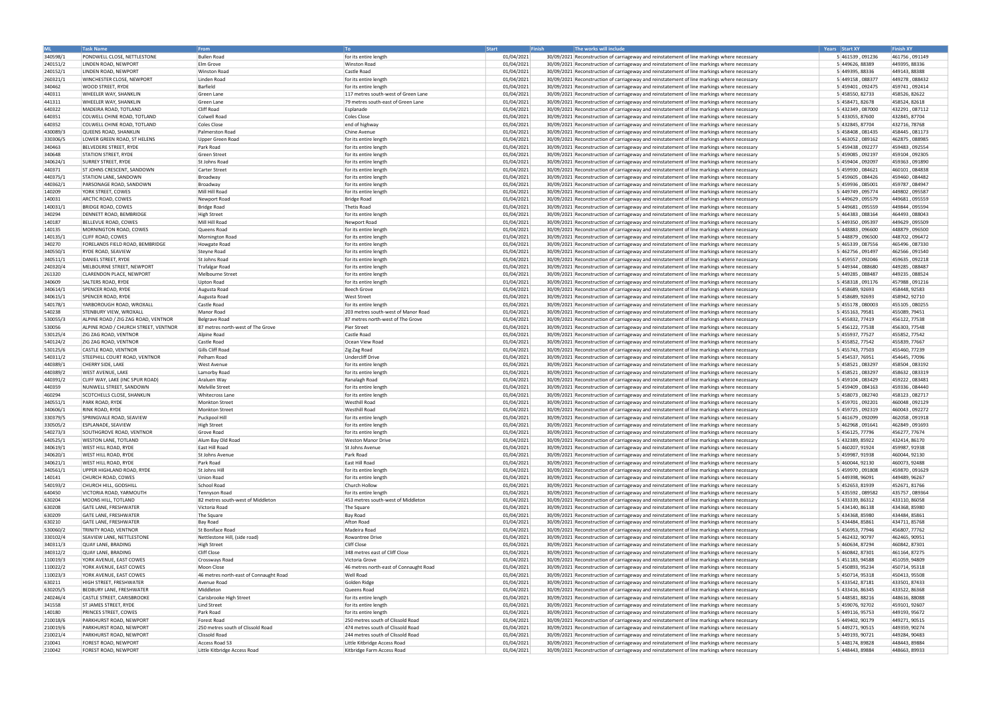|          | <b>Task Name</b>                       | <b>From</b>                            | To                                     | Start .    | The works will include<br><b>Finish</b>                                                     | Years Start XY   | <b>Finish XY</b> |
|----------|----------------------------------------|----------------------------------------|----------------------------------------|------------|---------------------------------------------------------------------------------------------|------------------|------------------|
| 340598/1 | <b>PONDWELL CLOSE, NETTLESTONE</b>     | <b>Bullen Road</b>                     | for its entire length                  | 01/04/2021 | 30/09/2021 Reconstruction of carriageway and reinstatement of line markings where necessary | 5 461539, 091236 | 461756, 091149   |
| 240151/2 | LINDEN ROAD, NEWPORT                   | Elm Grove                              | Winston Road                           | 01/04/2021 | 30/09/2021 Reconstruction of carriageway and reinstatement of line markings where necessary | 5 449626, 88389  | 449395, 88336    |
| 240152/1 | LINDEN ROAD, NEWPORT                   | <b>Winston Road</b>                    | Castle Road                            | 01/04/2021 | 30/09/2021 Reconstruction of carriageway and reinstatement of line markings where necessary | 5 449395, 88336  | 449143, 88388    |
| 260321/1 | <b>WINCHESTER CLOSE, NEWPORT</b>       | Linden Road                            | for its entire length                  | 01/04/2021 | 30/09/2021 Reconstruction of carriageway and reinstatement of line markings where necessary | 5 449158, 088377 | 449278,088432    |
| 340462   | <b>WOOD STREET, RYDE</b>               | Barfield                               | for its entire length                  | 01/04/2021 | 30/09/2021 Reconstruction of carriageway and reinstatement of line markings where necessary | 5 459401, 092475 | 459741.092414    |
| 440311   | <b>WHEELER WAY, SHANKLIN</b>           | Green Lane                             | 117 metres south-west of Green Lane    | 01/04/2021 | 30/09/2021 Reconstruction of carriageway and reinstatement of line markings where necessary | 5 458550, 82733  | 458526, 82622    |
| 441311   | <b>WHEELER WAY, SHANKLIN</b>           | Green Lane                             | 79 metres south-east of Green Lane     | 01/04/2021 | 30/09/2021 Reconstruction of carriageway and reinstatement of line markings where necessary | 5 458471, 82678  | 458524, 82618    |
| 640322   | MADEIRA ROAD, TOTLAND                  | Cliff Road                             | Esplanade                              | 01/04/2021 | 30/09/2021 Reconstruction of carriageway and reinstatement of line markings where necessary | 5 432349, 087000 | 432291,087112    |
| 640351   | COLWELL CHINE ROAD, TOTLAND            | <b>Colwell Road</b>                    | Coles Close                            | 01/04/2021 | 30/09/2021 Reconstruction of carriageway and reinstatement of line markings where necessary | 5 433055, 87600  | 432845, 87704    |
| 640352   | COLWELL CHINE ROAD, TOTLAND            | <b>Coles Close</b>                     | end of highway                         | 01/04/2021 | 30/09/2021 Reconstruction of carriageway and reinstatement of line markings where necessary | 5 432845, 87704  | 432716, 78768    |
| 430089/3 | <b>QUEENS ROAD, SHANKLIN</b>           | Palmerston Road                        | Chine Avenue                           | 01/04/2021 | 30/09/2021 Reconstruction of carriageway and reinstatement of line markings where necessary | 5 458408, 081435 | 458445.081173    |
| 330306/5 | LOWER GREEN ROAD, ST HELENS            | Upper Green Road                       | for its entire length                  | 01/04/2021 | 30/09/2021 Reconstruction of carriageway and reinstatement of line markings where necessary | 5 463052, 089162 | 462875, 088985   |
| 340463   | <b>BELVEDERE STREET, RYDE</b>          | Park Road                              | for its entire length                  | 01/04/2021 | 30/09/2021 Reconstruction of carriageway and reinstatement of line markings where necessary | 5 459438, 092277 | 459483.092554    |
| 340648   | <b>STATION STREET, RYDE</b>            | <b>Green Street</b>                    | for its entire length                  | 01/04/2021 | 30/09/2021 Reconstruction of carriageway and reinstatement of line markings where necessary | 5 459085, 092197 | 459104, 092305   |
| 340624/1 | <b>SURREY STREET, RYDE</b>             | St Johns Road                          | for its entire length                  | 01/04/2021 | 30/09/2021 Reconstruction of carriageway and reinstatement of line markings where necessary | 5 459404, 092097 | 459363,091890    |
| 440371   | <b>ST JOHNS CRESCENT, SANDOWN</b>      | <b>Carter Street</b>                   | for its entire length                  | 01/04/2021 | 30/09/2021 Reconstruction of carriageway and reinstatement of line markings where necessary | 5 459930, 084621 | 460101,084838    |
| 440375/1 | <b>STATION LANE, SANDOWN</b>           | Broadway                               | for its entire length                  | 01/04/2021 | 30/09/2021 Reconstruction of carriageway and reinstatement of line markings where necessary | 5 459605, 084426 | 459460, 084482   |
| 440362/1 | <b>PARSONAGE ROAD, SANDOWN</b>         | Broadway                               | for its entire length                  | 01/04/2021 | 30/09/2021 Reconstruction of carriageway and reinstatement of line markings where necessary | 5 459936, 085001 | 459787,084947    |
| 140209   | YORK STREET, COWES                     | Mill Hill Road                         | for its entire length                  | 01/04/2021 | 30/09/2021 Reconstruction of carriageway and reinstatement of line markings where necessary | 5 449749, 095774 | 449802,095587    |
| 140031   | ARCTIC ROAD, COWES                     | Newport Road                           | Bridge Road                            | 01/04/2021 | 30/09/2021 Reconstruction of carriageway and reinstatement of line markings where necessary | 5 449629, 095579 | 449681,095559    |
| 140031/1 | <b>BRIDGE ROAD, COWES</b>              | <b>Bridge Road</b>                     | Thetis Road                            | 01/04/2021 | 30/09/2021 Reconstruction of carriageway and reinstatement of line markings where necessary | 5 449681, 095559 | 449844, 095594   |
| 340294   | DENNETT ROAD, BEMBRIDGE                | <b>High Street</b>                     | for its entire length                  | 01/04/2021 | 30/09/2021 Reconstruction of carriageway and reinstatement of line markings where necessary | 5 464383, 088164 | 464493,088043    |
| 140187   | BELLEVUE ROAD, COWES                   | Mill Hill Road                         | Newport Road                           | 01/04/2021 | 30/09/2021 Reconstruction of carriageway and reinstatement of line markings where necessary | 5 449350, 095397 | 449629,095509    |
| 140135   | MORNINGTON ROAD, COWES                 | Queens Road                            | for its entire length                  | 01/04/2021 | 30/09/2021 Reconstruction of carriageway and reinstatement of line markings where necessary | 5 448883, 096600 | 448879,096500    |
| 140135/1 | <b>CLIFF ROAD, COWES</b>               | Mornington Road                        | for its entire length                  | 01/04/2021 | 30/09/2021 Reconstruction of carriageway and reinstatement of line markings where necessary | 5 448879, 096500 | 448702,096472    |
| 340270   | <b>FORELANDS FIELD ROAD, BEMBRIDGE</b> | Howgate Road                           | for its entire length                  | 01/04/2021 | 30/09/2021 Reconstruction of carriageway and reinstatement of line markings where necessary | 5 465339, 087556 | 465496, 087330   |
| 340550/1 | <b>RYDE ROAD, SEAVIEW</b>              | Steyne Road                            | for its entire length                  | 01/04/2021 | 30/09/2021 Reconstruction of carriageway and reinstatement of line markings where necessary | 5 462756, 091497 | 462566,091540    |
| 340511/1 | DANIEL STREET, RYDE                    | St Johns Road                          | for its entire length                  | 01/04/2021 | 30/09/2021 Reconstruction of carriageway and reinstatement of line markings where necessary | 5 459557, 092046 | 459635,092218    |
| 240320/4 | MELBOURNE STREET, NEWPORT              | <b>Trafalgar Road</b>                  | for its entire length                  | 01/04/2021 | 30/09/2021 Reconstruction of carriageway and reinstatement of line markings where necessary | 5 449344, 088680 | 449285,088487    |
| 261320   | <b>CLARENDON PLACE, NEWPORT</b>        | Melbourne Street                       | for its entire length                  | 01/04/2021 | 30/09/2021 Reconstruction of carriageway and reinstatement of line markings where necessary | 5 449285, 088487 | 449235,088524    |
| 340609   | SALTERS ROAD, RYDE                     | <b>Upton Road</b>                      | for its entire length                  | 01/04/2021 | 30/09/2021 Reconstruction of carriageway and reinstatement of line markings where necessary | 5 458318, 091176 | 457988,091216    |
| 340614/1 | <b>SPENCER ROAD, RYDE</b>              | Augusta Road                           | Beech Grove                            | 01/04/2021 | 30/09/2021 Reconstruction of carriageway and reinstatement of line markings where necessary | 5 458689, 92693  | 458448, 92583    |
| 340615/1 | <b>SPENCER ROAD, RYDE</b>              | Augusta Road                           | <b>West Street</b>                     | 01/04/2021 | 30/09/2021 Reconstruction of carriageway and reinstatement of line markings where necessary | 5 458689, 92693  | 458942, 92710    |
| 540178/1 | YARBOROUGH ROAD, WROXALL               | Castle Road                            | for its entire length                  | 01/04/2021 | 30/09/2021 Reconstruction of carriageway and reinstatement of line markings where necessary | 5 455178, 080003 | 455105,080255    |
| 540238   | <b>STENBURY VIEW, WROXALL</b>          | Manor Road                             | 203 metres south-west of Manor Road    | 01/04/2021 | 30/09/2021 Reconstruction of carriageway and reinstatement of line markings where necessary | 5 455163, 79581  | 455089, 79451    |
| 530055/3 | ALPINE ROAD / ZIG ZAG ROAD, VENTNOR    | Belgrave Road                          | 87 metres north-west of The Grove      | 01/04/2021 | 30/09/2021 Reconstruction of carriageway and reinstatement of line markings where necessary | 5 455832, 77419  | 456122, 77538    |
| 530056   | ALPINE ROAD / CHURCH STREET, VENTNOR   | 87 metres north-west of The Grove      | Pier Street                            | 01/04/2021 | 30/09/2021 Reconstruction of carriageway and reinstatement of line markings where necessary | 5 456122, 77538  | 456303, 77548    |
| 530125/4 | <b>ZIG ZAG ROAD, VENTNOR</b>           | Alpine Road                            | Castle Road                            | 01/04/2021 | 30/09/2021 Reconstruction of carriageway and reinstatement of line markings where necessary | 5 455937, 77527  | 455852, 77542    |
| 540124/2 | <b>ZIG ZAG ROAD, VENTNOR</b>           | Castle Road                            | Ocean View Road                        | 01/04/2021 | 30/09/2021 Reconstruction of carriageway and reinstatement of line markings where necessary | 5 455852, 77542  | 455839, 77667    |
| 530125/6 | CASTLE ROAD, VENTNOR                   | Gills Cliff Road                       | Zig Zag Road                           | 01/04/2021 | 30/09/2021 Reconstruction of carriageway and reinstatement of line markings where necessary | 5 455743, 77503  | 455460, 77239    |
| 540311/2 | STEEPHILL COURT ROAD, VENTNOR          | Pelham Road                            | Undercliff Drive                       | 01/04/2021 | 30/09/2021 Reconstruction of carriageway and reinstatement of line markings where necessary | 5 454537, 76951  | 454645, 77096    |
| 440389/1 | CHERRY SIDE, LAKE                      | West Avenue                            | for its entire length                  | 01/04/2021 | 30/09/2021 Reconstruction of carriageway and reinstatement of line markings where necessary | 5 458521, 083297 | 458504,083192    |
| 440389/2 | <b>WEST AVENUE, LAKE</b>               | Lamorby Road                           | for its entire length                  | 01/04/2021 | 30/09/2021 Reconstruction of carriageway and reinstatement of line markings where necessary | 5 458521, 083297 | 458632,083319    |
| 440391/2 | CLIFF WAY, LAKE (INC SPUR ROAD)        | Araluen Way                            | Ranalagh Road                          | 01/04/2021 | 30/09/2021 Reconstruction of carriageway and reinstatement of line markings where necessary | 5 459104, 083429 | 459222,083481    |
| 440359   | NUNWELL STREET, SANDOWN                | <b>Melville Street</b>                 | for its entire length                  | 01/04/2021 | 30/09/2021 Reconstruction of carriageway and reinstatement of line markings where necessary | 5 459409, 084163 | 459336,084440    |
| 460294   | <b>SCOTCHELLS CLOSE, SHANKLIN</b>      | <b>Whitecross Lane</b>                 | for its entire length                  | 01/04/2021 | 30/09/2021 Reconstruction of carriageway and reinstatement of line markings where necessary | 5 458073, 082740 | 458123,082717    |
| 340551/1 | <b>PARK ROAD, RYDE</b>                 | <b>Monkton Street</b>                  | <b>Westhill Road</b>                   | 01/04/2021 | 30/09/2021 Reconstruction of carriageway and reinstatement of line markings where necessary | 5 459701, 092201 | 460048,092129    |
| 340606/1 | <b>RINK ROAD, RYDE</b>                 | <b>Monkton Street</b>                  | <b>Westhill Road</b>                   | 01/04/2021 | 30/09/2021 Reconstruction of carriageway and reinstatement of line markings where necessary | 5 459725, 092319 | 460043,092272    |
| 330379/5 | SPRINGVALE ROAD, SEAVIEW               | Puckpool Hill                          | for its entire length                  | 01/04/2021 | 30/09/2021 Reconstruction of carriageway and reinstatement of line markings where necessary | 5 461679, 092099 | 462058,091918    |
| 330505/2 | <b>ESPLANADE, SEAVIEW</b>              | <b>High Street</b>                     | for its entire length                  | 01/04/2021 | 30/09/2021 Reconstruction of carriageway and reinstatement of line markings where necessary | 5 462968, 091641 | 462849,091693    |
| 540273/3 | SOUTHGROVE ROAD, VENTNOR               | Grove Road                             | for its entire length                  | 01/04/2021 | 30/09/2021 Reconstruction of carriageway and reinstatement of line markings where necessary | 5 456125, 77796  | 456277, 77674    |
| 640525/1 | <b>WESTON LANE, TOTLAND</b>            | Alum Bay Old Road                      | <b>Weston Manor Drive</b>              | 01/04/2021 | 30/09/2021 Reconstruction of carriageway and reinstatement of line markings where necessary | 5 432389, 85922  | 432414, 86170    |
| 340619/1 | <b>WEST HILL ROAD, RYDE</b>            | East Hill Road                         | St Johns Avenue                        | 01/04/2021 | 30/09/2021 Reconstruction of carriageway and reinstatement of line markings where necessary | 5 460207, 91924  | 459987, 91938    |
| 340620/1 | <b>WEST HILL ROAD, RYDE</b>            | St Johns Avenue                        | Park Road                              | 01/04/2021 | 30/09/2021 Reconstruction of carriageway and reinstatement of line markings where necessary | 5 459987, 91938  | 460044, 92130    |
| 340621/1 | <b>WEST HILL ROAD, RYDE</b>            | Park Road                              | East Hill Road                         | 01/04/2021 | 30/09/2021 Reconstruction of carriageway and reinstatement of line markings where necessary | 5 460044, 92130  | 460073, 92488    |
| 340561/1 | UPPER HIGHLAND ROAD, RYDE              | St Johns Hill                          | for its entire length                  | 01/04/2021 | 30/09/2021 Reconstruction of carriageway and reinstatement of line markings where necessary | 5 459970, 091808 | 459870,091629    |
| 140141   | CHURCH ROAD, COWES                     | <b>Union Road</b>                      | for its entire length                  | 01/04/2021 | 30/09/2021 Reconstruction of carriageway and reinstatement of line markings where necessary | 5 449398, 96091  | 449489, 96267    |
| 540193/2 | CHURCH HILL, GODSHILL                  | School Road                            | Church Hollow                          | 01/04/2021 | 30/09/2021 Reconstruction of carriageway and reinstatement of line markings where necessary | 5 452653, 81939  | 452671, 81766    |
| 640450   | VICTORIA ROAD, YARMOUTH                | Tennyson Road                          | for its entire length                  | 01/04/2021 | 30/09/2021 Reconstruction of carriageway and reinstatement of line markings where necessary | 5 435592, 089582 | 435757,089364    |
| 630204   | MOONS HILL, TOTLAND                    | 82 metres south-west of Middleton      | 453 metres south-west of Middleton     | 01/04/2021 | 30/09/2021 Reconstruction of carriageway and reinstatement of line markings where necessary | 5 433339, 86312  | 433110, 86058    |
| 630208   | GATE LANE, FRESHWATER                  | Victoria Road                          | The Square                             | 01/04/2021 | 30/09/2021 Reconstruction of carriageway and reinstatement of line markings where necessary | 5 434140, 86138  | 434368, 85980    |
| 630209   | <b>GATE LANE, FRESHWATER</b>           | The Square                             | Bay Road                               | 01/04/2021 | 30/09/2021 Reconstruction of carriageway and reinstatement of line markings where necessary | 5 434368, 85980  | 434484, 85861    |
| 630210   | GATE LANE, FRESHWATER                  | Bay Road                               | Afton Road                             | 01/04/2021 | 30/09/2021 Reconstruction of carriageway and reinstatement of line markings where necessary | 5 434484, 85861  | 434711, 85768    |
| 530060/2 | <b>TRINITY ROAD, VENTNOR</b>           | St Boniface Road                       | Madeira Road                           | 01/04/2021 | 30/09/2021 Reconstruction of carriageway and reinstatement of line markings where necessary | 5 456953, 77946  | 456807, 77762    |
| 330102/4 | SEAVIEW LANE, NETTLESTONE              | Nettlestone Hill, (side road)          | Rowantree Drive                        | 01/04/2021 | 30/09/2021 Reconstruction of carriageway and reinstatement of line markings where necessary | 5 462432, 90797  | 462465, 90951    |
| 340311/3 | <b>QUAY LANE, BRADING</b>              | <b>High Street</b>                     | <b>Cliff Close</b>                     | 01/04/2021 | 30/09/2021 Reconstruction of carriageway and reinstatement of line markings where necessary | 5 460634, 87294  | 460842, 87301    |
| 340312/2 | QUAY LANE, BRADING                     | <b>Cliff Close</b>                     | 348 metres east of Cliff Close         | 01/04/2021 | 30/09/2021 Reconstruction of carriageway and reinstatement of line markings where necessary | 5 460842, 87301  | 461164, 87275    |
| 110019/3 | YORK AVENUE, EAST COWES                | Crossways Road                         | Victoria Grove                         | 01/04/2021 | 30/09/2021 Reconstruction of carriageway and reinstatement of line markings where necessary | 5 451183, 94588  | 451059, 94809    |
| 110022/2 | YORK AVENUE, EAST COWES                | Moon Close                             | 46 metres north-east of Connaught Road | 01/04/2021 | 30/09/2021 Reconstruction of carriageway and reinstatement of line markings where necessary | 5 450893, 95234  | 450714, 95318    |
| 110023/3 | YORK AVENUE, EAST COWES                | 46 metres north-east of Connaught Road | <b>Well Road</b>                       | 01/04/2021 | 30/09/2021 Reconstruction of carriageway and reinstatement of line markings where necessary | 5 450714, 95318  | 450413, 95508    |
| 630211   | HIGH STREET, FRESHWATER                | Avenue Road                            | Golden Ridge                           | 01/04/2021 | 30/09/2021 Reconstruction of carriageway and reinstatement of line markings where necessary | 5 433542, 87181  | 433501, 87433    |
| 630205/5 | <b>BEDBURY LANE, FRESHWATER</b>        | Middleton                              | Queens Road                            | 01/04/2021 | 30/09/2021 Reconstruction of carriageway and reinstatement of line markings where necessary | 5 433416, 86345  | 433522, 86368    |
| 240246/4 | CASTLE STREET, CARISBROOKE             | Carisbrooke High Street                | for its entire length                  | 01/04/2021 | 30/09/2021 Reconstruction of carriageway and reinstatement of line markings where necessary | 5 448581, 88216  | 448616, 88088    |
| 341558   | ST JAMES STREET, RYDE                  | Lind Street                            | for its entire length                  | 01/04/2021 | 30/09/2021 Reconstruction of carriageway and reinstatement of line markings where necessary | 5 459076, 92702  | 459101, 92607    |
| 140180   | <b>PRINCES STREET, COWES</b>           | Park Road                              | for its entire length                  | 01/04/2021 | 30/09/2021 Reconstruction of carriageway and reinstatement of line markings where necessary | 5 449116, 95753  | 449193, 95672    |
| 210018/6 | <b>PARKHURST ROAD, NEWPORT</b>         | Forest Road                            | 250 metres south of Clissold Road      | 01/04/2021 | 30/09/2021 Reconstruction of carriageway and reinstatement of line markings where necessary | 5 449402, 90179  | 449271, 90515    |
| 210019/6 | <b>PARKHURST ROAD, NEWPORT</b>         | 250 metres south of Clissold Road      | 474 metres south of Clissold Road      | 01/04/2021 | 30/09/2021 Reconstruction of carriageway and reinstatement of line markings where necessary | 5 449271, 90515  | 449359, 90274    |
| 210021/4 | <b>PARKHURST ROAD, NEWPORT</b>         | Clissold Road                          | 244 metres south of Clissold Road      | 01/04/2021 | 30/09/2021 Reconstruction of carriageway and reinstatement of line markings where necessary | 5 449193, 90721  | 449284, 90483    |
| 210041   | <b>FOREST ROAD, NEWPORT</b>            | Access Road 53                         | Little Kitbridge Access Road           | 01/04/2021 | 30/09/2021 Reconstruction of carriageway and reinstatement of line markings where necessary | 5 448174, 89828  | 448443, 89884    |
| 210042   | <b>FOREST ROAD, NEWPORT</b>            | Little Kitbridge Access Road           | Kitbridge Farm Access Road             | 01/04/2021 | 30/09/2021 Reconstruction of carriageway and reinstatement of line markings where necessary | 5 448443, 89884  | 448663, 89933    |